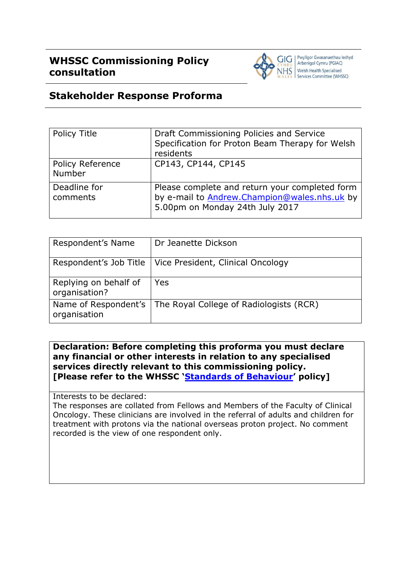

## **Stakeholder Response Proforma**

| Policy Title               | Draft Commissioning Policies and Service<br>Specification for Proton Beam Therapy for Welsh<br>residents                          |
|----------------------------|-----------------------------------------------------------------------------------------------------------------------------------|
| Policy Reference<br>Number | CP143, CP144, CP145                                                                                                               |
| Deadline for<br>comments   | Please complete and return your completed form<br>by e-mail to Andrew.Champion@wales.nhs.uk by<br>5.00pm on Monday 24th July 2017 |

| Respondent's Name                      | Dr Jeanette Dickson                     |
|----------------------------------------|-----------------------------------------|
| Respondent's Job Title                 | Vice President, Clinical Oncology       |
| Replying on behalf of<br>organisation? | Yes                                     |
| Name of Respondent's<br>organisation   | The Royal College of Radiologists (RCR) |

**Declaration: Before completing this proforma you must declare any financial or other interests in relation to any specialised services directly relevant to this commissioning policy. [Please refer to the WHSSC '[Standards of Behaviour](http://www.whssc.wales.nhs.uk/sitesplus/documents/1119/Standards%20of%20Behaviour%20Policy%20v2%200.pdf)' policy]**

Interests to be declared:

The responses are collated from Fellows and Members of the Faculty of Clinical Oncology. These clinicians are involved in the referral of adults and children for treatment with protons via the national overseas proton project. No comment recorded is the view of one respondent only.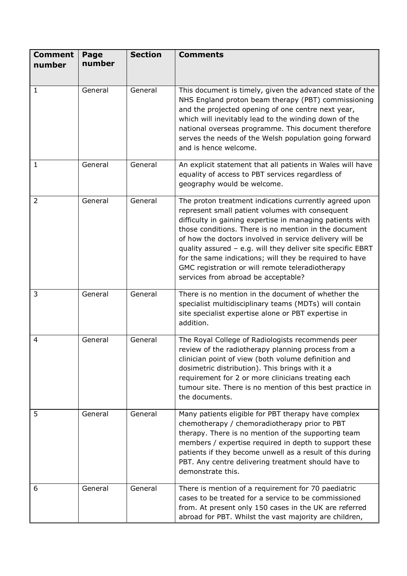| <b>Comment</b><br>number | Page<br>number | <b>Section</b> | <b>Comments</b>                                                                                                                                                                                                                                                                                                                                                                                                                                                                                                 |
|--------------------------|----------------|----------------|-----------------------------------------------------------------------------------------------------------------------------------------------------------------------------------------------------------------------------------------------------------------------------------------------------------------------------------------------------------------------------------------------------------------------------------------------------------------------------------------------------------------|
| 1                        | General        | General        | This document is timely, given the advanced state of the<br>NHS England proton beam therapy (PBT) commissioning<br>and the projected opening of one centre next year,<br>which will inevitably lead to the winding down of the<br>national overseas programme. This document therefore<br>serves the needs of the Welsh population going forward<br>and is hence welcome.                                                                                                                                       |
| $\mathbf{1}$             | General        | General        | An explicit statement that all patients in Wales will have<br>equality of access to PBT services regardless of<br>geography would be welcome.                                                                                                                                                                                                                                                                                                                                                                   |
| $\overline{2}$           | General        | General        | The proton treatment indications currently agreed upon<br>represent small patient volumes with consequent<br>difficulty in gaining expertise in managing patients with<br>those conditions. There is no mention in the document<br>of how the doctors involved in service delivery will be<br>quality assured - e.g. will they deliver site specific EBRT<br>for the same indications; will they be required to have<br>GMC registration or will remote teleradiotherapy<br>services from abroad be acceptable? |
| $\overline{3}$           | General        | General        | There is no mention in the document of whether the<br>specialist multidisciplinary teams (MDTs) will contain<br>site specialist expertise alone or PBT expertise in<br>addition.                                                                                                                                                                                                                                                                                                                                |
| 4                        | General        | General        | The Royal College of Radiologists recommends peer<br>review of the radiotherapy planning process from a<br>clinician point of view (both volume definition and<br>dosimetric distribution). This brings with it a<br>requirement for 2 or more clinicians treating each<br>tumour site. There is no mention of this best practice in<br>the documents.                                                                                                                                                          |
| 5                        | General        | General        | Many patients eligible for PBT therapy have complex<br>chemotherapy / chemoradiotherapy prior to PBT<br>therapy. There is no mention of the supporting team<br>members / expertise required in depth to support these<br>patients if they become unwell as a result of this during<br>PBT. Any centre delivering treatment should have to<br>demonstrate this.                                                                                                                                                  |
| 6                        | General        | General        | There is mention of a requirement for 70 paediatric<br>cases to be treated for a service to be commissioned<br>from. At present only 150 cases in the UK are referred<br>abroad for PBT. Whilst the vast majority are children,                                                                                                                                                                                                                                                                                 |